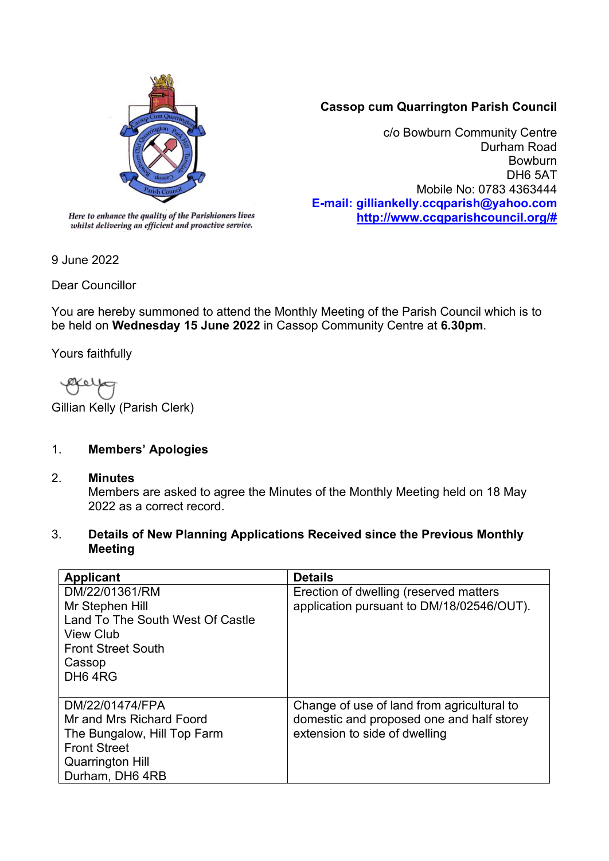

## **Cassop cum Quarrington Parish Council**

c/o Bowburn Community Centre Durham Road Bowburn DH6 5AT Mobile No: 0783 4363444 **E-mail: gilliankelly.ccqparish@yahoo.com [http://www.ccqparishcouncil.org/#](http://www.ccqparishcouncil.org/)**

whilst delivering an efficient and proactive service.

9 June 2022

Dear Councillor

You are hereby summoned to attend the Monthly Meeting of the Parish Council which is to be held on **Wednesday 15 June 2022** in Cassop Community Centre at **6.30pm**.

Yours faithfully

Ø۷ o l

Gillian Kelly (Parish Clerk)

### 1. **Members' Apologies**

2. **Minutes**

Members are asked to agree the Minutes of the Monthly Meeting held on 18 May 2022 as a correct record.

3. **Details of New Planning Applications Received since the Previous Monthly Meeting**

| <b>Applicant</b>                 | <b>Details</b>                             |
|----------------------------------|--------------------------------------------|
| DM/22/01361/RM                   | Erection of dwelling (reserved matters     |
| Mr Stephen Hill                  | application pursuant to DM/18/02546/OUT).  |
| Land To The South West Of Castle |                                            |
| <b>View Club</b>                 |                                            |
| <b>Front Street South</b>        |                                            |
| Cassop                           |                                            |
| DH <sub>6</sub> 4R <sub>G</sub>  |                                            |
|                                  |                                            |
| DM/22/01474/FPA                  | Change of use of land from agricultural to |
| Mr and Mrs Richard Foord         | domestic and proposed one and half storey  |
| The Bungalow, Hill Top Farm      | extension to side of dwelling              |
| <b>Front Street</b>              |                                            |
| <b>Quarrington Hill</b>          |                                            |
| Durham, DH6 4RB                  |                                            |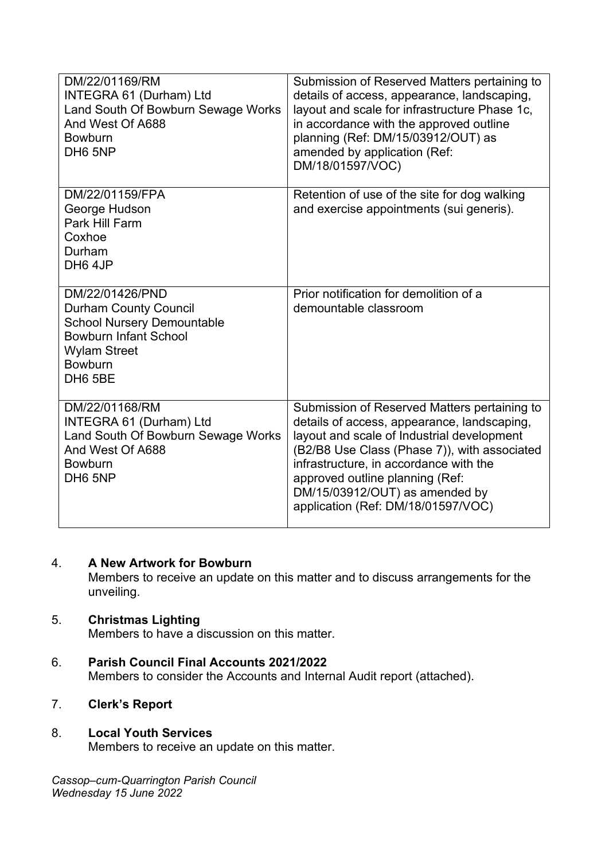| DM/22/01169/RM<br><b>INTEGRA 61 (Durham) Ltd</b><br>Land South Of Bowburn Sewage Works<br>And West Of A688<br><b>Bowburn</b><br>DH <sub>6</sub> 5NP                                  | Submission of Reserved Matters pertaining to<br>details of access, appearance, landscaping,<br>layout and scale for infrastructure Phase 1c,<br>in accordance with the approved outline<br>planning (Ref: DM/15/03912/OUT) as<br>amended by application (Ref:<br>DM/18/01597/VOC)                                                              |
|--------------------------------------------------------------------------------------------------------------------------------------------------------------------------------------|------------------------------------------------------------------------------------------------------------------------------------------------------------------------------------------------------------------------------------------------------------------------------------------------------------------------------------------------|
| DM/22/01159/FPA<br>George Hudson<br>Park Hill Farm<br>Coxhoe<br>Durham<br>DH <sub>6</sub> 4JP                                                                                        | Retention of use of the site for dog walking<br>and exercise appointments (sui generis).                                                                                                                                                                                                                                                       |
| DM/22/01426/PND<br><b>Durham County Council</b><br><b>School Nursery Demountable</b><br><b>Bowburn Infant School</b><br><b>Wylam Street</b><br><b>Bowburn</b><br>DH <sub>6</sub> 5BE | Prior notification for demolition of a<br>demountable classroom                                                                                                                                                                                                                                                                                |
| DM/22/01168/RM<br>INTEGRA 61 (Durham) Ltd<br>Land South Of Bowburn Sewage Works<br>And West Of A688<br><b>Bowburn</b><br>DH <sub>6</sub> 5NP                                         | Submission of Reserved Matters pertaining to<br>details of access, appearance, landscaping,<br>layout and scale of Industrial development<br>(B2/B8 Use Class (Phase 7)), with associated<br>infrastructure, in accordance with the<br>approved outline planning (Ref:<br>DM/15/03912/OUT) as amended by<br>application (Ref: DM/18/01597/VOC) |

#### 4. **A New Artwork for Bowburn**

Members to receive an update on this matter and to discuss arrangements for the unveiling.

### 5. **Christmas Lighting**

Members to have a discussion on this matter.

- 6. **Parish Council Final Accounts 2021/2022** Members to consider the Accounts and Internal Audit report (attached).
- 7. **Clerk's Report**

### 8. **Local Youth Services**

Members to receive an update on this matter.

*Cassop–cum-Quarrington Parish Council Wednesday 15 June 2022*